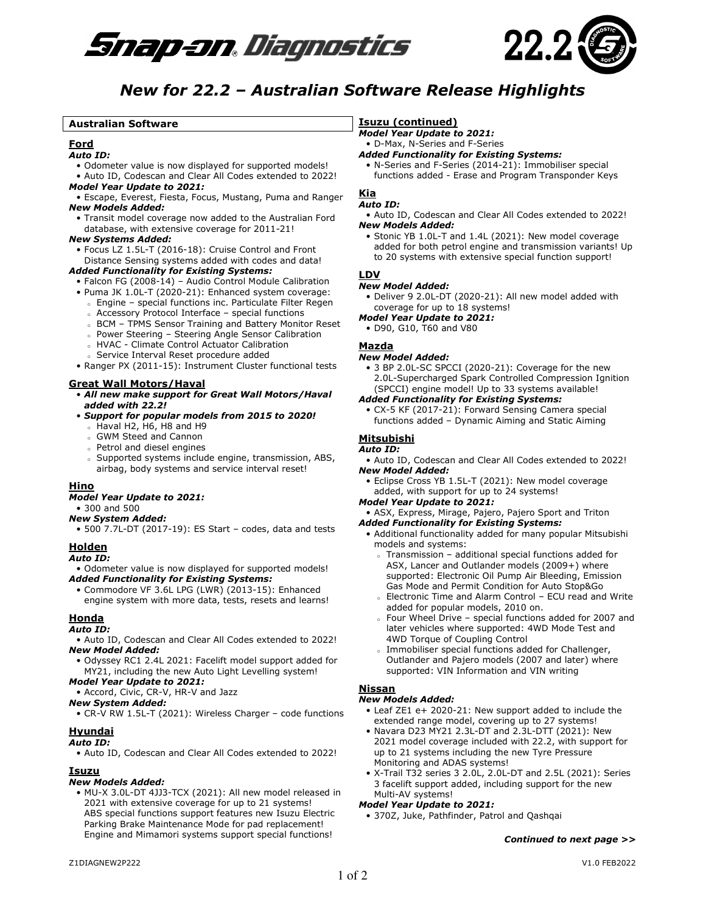



# *New for 22.2 – Australian Software Release Highlights*

# **Australian Software**

# **Ford**

#### *Auto ID:*

- Odometer value is now displayed for supported models!
- Auto ID, Codescan and Clear All Codes extended to 2022! *Model Year Update to 2021:*
- Escape, Everest, Fiesta, Focus, Mustang, Puma and Ranger *New Models Added:*
- Transit model coverage now added to the Australian Ford database, with extensive coverage for 2011-21!

# *New Systems Added:*

• Focus LZ 1.5L-T (2016-18): Cruise Control and Front Distance Sensing systems added with codes and data!

# *Added Functionality for Existing Systems:*

- Falcon FG (2008-14) Audio Control Module Calibration
- Puma JK 1.0L-T (2020-21): Enhanced system coverage:
	- <sup>o</sup> Engine special functions inc. Particulate Filter Regen
	- <sup>o</sup> Accessory Protocol Interface special functions
	- <sup>o</sup> BCM TPMS Sensor Training and Battery Monitor Reset
	- <sup>o</sup> Power Steering Steering Angle Sensor Calibration
	- <sup>o</sup> HVAC Climate Control Actuator Calibration
	- Service Interval Reset procedure added

• Ranger PX (2011-15): Instrument Cluster functional tests

# **Great Wall Motors/Haval**

- *All new make support for Great Wall Motors/Haval added with 22.2!*
- *Support for popular models from 2015 to 2020!*
	- <sup>o</sup> Haval H2, H6, H8 and H9
	- <sup>o</sup> GWM Steed and Cannon
	- <sup>o</sup> Petrol and diesel engines
	- <sup>o</sup> Supported systems include engine, transmission, ABS, airbag, body systems and service interval reset!

# **Hino**

- *Model Year Update to 2021:*
- 300 and 500

# *New System Added:*

• 500 7.7L-DT (2017-19): ES Start – codes, data and tests

# **Holden**

#### *Auto ID:*

• Odometer value is now displayed for supported models! *Added Functionality for Existing Systems:* 

• Commodore VF 3.6L LPG (LWR) (2013-15): Enhanced engine system with more data, tests, resets and learns!

# **Honda**

# *Auto ID:*

- Auto ID, Codescan and Clear All Codes extended to 2022! *New Model Added:*
- Odyssey RC1 2.4L 2021: Facelift model support added for MY21, including the new Auto Light Levelling system!
- *Model Year Update to 2021:*
- Accord, Civic, CR-V, HR-V and Jazz

# *New System Added:*

• CR-V RW 1.5L-T (2021): Wireless Charger – code functions

#### **Hyundai**  *Auto ID:*

• Auto ID, Codescan and Clear All Codes extended to 2022!

# **Isuzu**

# *New Models Added:*

• MU-X 3.0L-DT 4JJ3-TCX (2021): All new model released in 2021 with extensive coverage for up to 21 systems! ABS special functions support features new Isuzu Electric Parking Brake Maintenance Mode for pad replacement! Engine and Mimamori systems support special functions!

# **Isuzu (continued)**

# *Model Year Update to 2021:*

- D-Max, N-Series and F-Series
- *Added Functionality for Existing Systems:*
- N-Series and F-Series (2014-21): Immobiliser special functions added - Erase and Program Transponder Keys

#### **Kia**  *Auto ID:*

- Auto ID, Codescan and Clear All Codes extended to 2022! *New Models Added:*
- Stonic YB 1.0L-T and 1.4L (2021): New model coverage added for both petrol engine and transmission variants! Up to 20 systems with extensive special function support!

#### **LDV**

#### *New Model Added:*

- Deliver 9 2.0L-DT (2020-21): All new model added with coverage for up to 18 systems!
- *Model Year Update to 2021:* 
	- D90, G10, T60 and V80

# **Mazda**

#### *New Model Added:*

- 3 BP 2.0L-SC SPCCI (2020-21): Coverage for the new 2.0L-Supercharged Spark Controlled Compression Ignition (SPCCI) engine model! Up to 33 systems available!
- *Added Functionality for Existing Systems:*
	- CX-5 KF (2017-21): Forward Sensing Camera special functions added – Dynamic Aiming and Static Aiming

# **Mitsubishi**

#### *Auto ID:*

• Auto ID, Codescan and Clear All Codes extended to 2022! *New Model Added:* 

• Eclipse Cross YB 1.5L-T (2021): New model coverage added, with support for up to 24 systems!

# *Model Year Update to 2021:*

• ASX, Express, Mirage, Pajero, Pajero Sport and Triton *Added Functionality for Existing Systems:*

- Additional functionality added for many popular Mitsubishi models and systems:
	- Transmission additional special functions added for ASX, Lancer and Outlander models (2009+) where supported: Electronic Oil Pump Air Bleeding, Emission Gas Mode and Permit Condition for Auto Stop&Go
	- Electronic Time and Alarm Control ECU read and Write added for popular models, 2010 on.
	- Four Wheel Drive special functions added for 2007 and later vehicles where supported: 4WD Mode Test and 4WD Torque of Coupling Control
	- Immobiliser special functions added for Challenger, Outlander and Pajero models (2007 and later) where supported: VIN Information and VIN writing

# **Nissan**

#### *New Models Added:*

- Leaf ZE1 e+ 2020-21: New support added to include the extended range model, covering up to 27 systems!
- Navara D23 MY21 2.3L-DT and 2.3L-DTT (2021): New 2021 model coverage included with 22.2, with support for up to 21 systems including the new Tyre Pressure Monitoring and ADAS systems!
- X-Trail T32 series 3 2.0L, 2.0L-DT and 2.5L (2021): Series 3 facelift support added, including support for the new Multi-AV systems!

#### *Model Year Update to 2021:*

• 370Z, Juke, Pathfinder, Patrol and Qashqai

*Continued to next page >>*